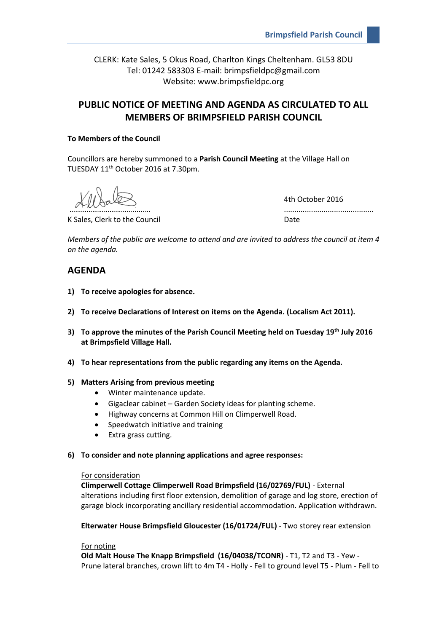CLERK: Kate Sales, 5 Okus Road, Charlton Kings Cheltenham. GL53 8DU Tel: 01242 583303 E-mail: brimpsfieldpc@gmail.com Website: www.brimpsfieldpc.org

# **PUBLIC NOTICE OF MEETING AND AGENDA AS CIRCULATED TO ALL MEMBERS OF BRIMPSFIELD PARISH COUNCIL**

## **To Members of the Council**

Councillors are hereby summoned to a **Parish Council Meeting** at the Village Hall on TUESDAY 11th October 2016 at 7.30pm.

K Sales, Clerk to the Council **Example 20** at the Date

4th October 2016 ……………………………......… ...........................................

*Members of the public are welcome to attend and are invited to address the council at item 4 on the agenda.*

# **AGENDA**

- **1) To receive apologies for absence.**
- **2) To receive Declarations of Interest on items on the Agenda. (Localism Act 2011).**
- **3) To approve the minutes of the Parish Council Meeting held on Tuesday 19th July 2016 at Brimpsfield Village Hall.**
- **4) To hear representations from the public regarding any items on the Agenda.**
- **5) Matters Arising from previous meeting**
	- Winter maintenance update.
	- Gigaclear cabinet Garden Society ideas for planting scheme.
	- Highway concerns at Common Hill on Climperwell Road.
	- Speedwatch initiative and training
	- Extra grass cutting.
- **6) To consider and note planning applications and agree responses:**

#### For consideration

**Climperwell Cottage Climperwell Road Brimpsfield (16/02769/FUL)** - External alterations including first floor extension, demolition of garage and log store, erection of garage block incorporating ancillary residential accommodation. Application withdrawn.

**Elterwater House Brimpsfield Gloucester (16/01724/FUL)** - Two storey rear extension

### For noting

**Old Malt House The Knapp Brimpsfield (16/04038/TCONR)** - T1, T2 and T3 - Yew - Prune lateral branches, crown lift to 4m T4 - Holly - Fell to ground level T5 - Plum - Fell to